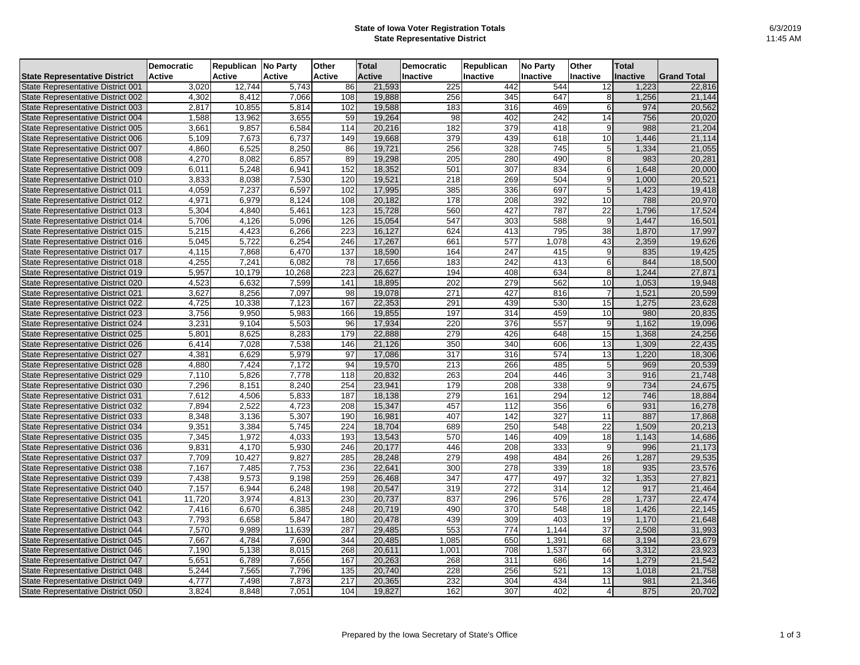## **State of Iowa Voter Registration Totals State Representative District**

|                                                                        | <b>Democratic</b> | <b>Republican No Party</b> |                | <b>Other</b>  | <b>Total</b>     | <b>Democratic</b> | <b>Republican</b> | <b>No Party</b> | Other           | <b>Total</b>   |                    |
|------------------------------------------------------------------------|-------------------|----------------------------|----------------|---------------|------------------|-------------------|-------------------|-----------------|-----------------|----------------|--------------------|
| <b>State Representative District</b>                                   | <b>Active</b>     | <b>Active</b>              | <b>Active</b>  | <b>Active</b> | <b>Active</b>    | Inactive          | Inactive          | <b>Inactive</b> | Inactive        | Inactive       | <b>Grand Total</b> |
| State Representative District 001                                      | 3,020             | 12,744                     | 5,743          | 86            | 21,593           | 225               | 442               | 544             | 12              | 1,223          | 22,816             |
| State Representative District 002                                      | 4,302             | 8,412                      | 7,066          | 108           | 19,888           | 256               | 345               | 647             | 8               | 1,256          | 21,144             |
| State Representative District 003                                      | 2,817             | 10,855                     | 5,814          | 102           | 19,588           | 183               | 316               | 469             | 6               | 974            | 20,562             |
| State Representative District 004                                      | 1,588             | 13,962                     | 3,655          | 59            | 19,264           | 98                | 402               | 242             | 14              | 756            | 20,020             |
| State Representative District 005                                      | 3,661             | 9,857                      | 6,584          | 114           | 20,216           | 182               | 379               | 418             | 9               | 988            | 21,204             |
| State Representative District 006                                      | 5,109             | 7,673                      | 6,737          | 149           | 19,668           | 379               | 439               | 618             | 10              | 1,446          | 21,114             |
| State Representative District 007                                      | 4,860             | 6,525                      | 8,250          | 86            | 19,721           | 256               | 328               | 745             | 5               | 1,334          | 21,055             |
| State Representative District 008                                      | 4,270             | 8,082                      | 6,857          | 89            | 19,298           | 205               | 280               | 490             | 8               | 983            | 20,281             |
| State Representative District 009                                      | 6,011             | 5,248                      | 6,941          | 152           | 18,352           | 501               | 307               | 834             | 6               | 1,648          | 20,000             |
| State Representative District 010                                      | 3,833             | 8,038                      | 7,530          | 120           | 19,521           | 218               | 269               | 504             | 9               | 1,000          | 20,521             |
| State Representative District 011                                      | 4,059             | 7,237                      | 6,597          | 102           | 17,995           | 385               | 336               | 697             | 5               | 1,423          | 19,418             |
| State Representative District 012                                      | 4,971             | 6,979                      | 8,124          | 108           | 20,182           | 178               | 208               | 392             | 10              | 788            | 20,970             |
| State Representative District 013                                      | 5,304             | 4,840                      | 5,461          | 123           | 15,728           | 560               | 427               | 787             | $\overline{22}$ | 1,796          | 17,524             |
| State Representative District 014                                      | 5,706             | 4,126                      | 5,096          | 126           | 15,054           | 547               | 303               | 588             | $\overline{9}$  | 1,447          | 16,501             |
| State Representative District 015                                      | 5,215             | 4,423                      | 6,266          | 223           | 16,127           | 624               | 413               | 795             | 38              | 1,870          | 17,997             |
| State Representative District 016                                      | 5,045             | 5,722                      | 6,254          | 246           | 17,267           | 661               | 577               | 1,078           | 43              | 2,359          | 19,626             |
| State Representative District 017                                      | 4,115             | 7,868                      | 6,470          | 137           | 18,590           | 164               | 247               | 415             | 9               | 835            | 19,425             |
| State Representative District 018                                      | 4,255             | 7,241                      | 6,082          | 78            | 17,656           | 183               | 242               | 413             | 6               | 844            | 18,500             |
| State Representative District 019                                      | 5,957             | 10,179                     | 10,268         | 223           | 26,627           | 194               | 408               | 634             | 8 <sup>1</sup>  | 1,244          | 27,871             |
| State Representative District 020                                      | 4,523             | 6,632                      | 7,599          | 141           | 18,895           | 202               | 279               | 562             | 10              | 1,053          | 19,948             |
| State Representative District 021                                      | 3,627             | 8,256                      | 7,097          | 98            | 19,078           | 271               | 427               | 816             |                 | 1,521          | 20,599             |
| State Representative District 022                                      | 4,725             | 10,338                     | 7,123          | 167           | 22,353           | 291               | 439               | 530             | 15              | 1,275          | 23,628             |
| State Representative District 023                                      | 3,756             | 9,950                      | 5,983          | 166           | 19,855           | 197               | 314               | 459             | 10              | 980            | 20,835             |
| State Representative District 024                                      | 3,231             | 9,104                      | 5,503          | 96            | 17,934           | 220               | 376               | 557             | $\overline{9}$  | 1,162          | 19,096             |
| State Representative District 025                                      | 5,801             | 8,625                      | 8,283          | 179           | 22,888           | 279               | 426               | 648             | 15              | 1,368          | 24,256             |
| State Representative District 026                                      | 6,414             | 7,028                      | 7,538          | 146           | 21,126           | 350               | 340               | 606             | 13              | 1,309          | 22,435             |
| State Representative District 027                                      | 4,381             | 6,629                      | 5,979          | 97            | 17,086           | 317               | 316               | 574             | 13              | 1,220          | 18,306             |
| State Representative District 028                                      | 4,880             | 7,424                      | 7,172          | 94            | 19,570           | 213               | 266               | 485             | 5 <sup>5</sup>  | 969            | 20,539             |
| State Representative District 029                                      | 7,110             | 5,826                      | 7,778          | 118           | 20,832           | 263               | 204               | 446             | 3               | 916            | 21,748             |
| State Representative District 030                                      | 7,296             | 8,151                      | 8,240          | 254           | 23,941           | 179               | 208               | 338             | 9               | 734            | 24,675             |
| State Representative District 031                                      | 7,612             | 4,506                      | 5,833          | 187           | 18,138           | 279               | 161               | 294             | 12              | 746            | 18,884             |
| State Representative District 032                                      | 7,894             | 2,522                      | 4,723          | 208           | 15,347           | 457               | 112               | 356             | 6               | 931            | 16,278             |
| State Representative District 033                                      | 8,348             | 3,136                      | 5,307          | 190           | 16,981           | 407               | 142               | 327             | 11              | 887            | 17,868             |
| State Representative District 034                                      | 9,351             | 3,384                      | 5,745          | 224           | 18,704           | 689               | 250               | 548             | $\overline{22}$ | 1,509          | 20,213             |
| State Representative District 035                                      | 7,345             | 1,972                      | 4,033          | 193           | 13,543           | 570               | 146               | 409             | 18              | 1,143          | 14,686             |
| State Representative District 036                                      | 9,831             | 4,170                      | 5,930          | 246           | 20,177           | 446               | 208               | 333             | 9               | 996            | 21,173             |
| State Representative District 037                                      | 7,709             | 10,427                     | 9,827          | 285           | 28,248           | 279               | 498               | 484             | 26              | 1,287          | 29,535             |
| State Representative District 038                                      | 7,167             | 7,485                      | 7,753          | 236<br>259    | 22,641<br>26,468 | 300<br>347        | 278<br>477        | 339<br>497      | 18<br>32        | 935<br>1,353   | 23,576             |
| State Representative District 039<br>State Representative District 040 | 7,438             | 9,573                      | 9,198<br>6,248 | 198           | 20,547           |                   | 272               | 314             | 12              | 917            | 27,821             |
|                                                                        | 7,157             | 6,944<br>3,974             | 4,813          | 230           | 20,737           | 319<br>837        |                   | 576             | 28              | 1,737          | 21,464             |
| State Representative District 041<br>State Representative District 042 | 11,720<br>7,416   | 6,670                      | 6,385          | 248           | 20,719           | 490               | 296<br>370        | 548             | $\overline{18}$ | 1,426          | 22,474<br>22,145   |
| State Representative District 043                                      | 7,793             | 6,658                      | 5,847          | 180           | 20,478           | 439               | 309               | 403             | 19              | 1,170          | 21,648             |
| State Representative District 044                                      | 7,570             | 9,989                      | 11,639         | 287           | 29,485           | 553               | 774               | 1,144           | 37              | 2,508          | 31,993             |
|                                                                        |                   | 4,784                      |                | 344           | 20,485           |                   |                   |                 | 68              |                |                    |
| State Representative District 045<br>State Representative District 046 | 7,667<br>7,190    | 5,138                      | 7,690<br>8,015 | 268           | 20,611           | 1,085<br>1,001    | 650<br>708        | 1,391<br>1,537  | 66              | 3,194<br>3,312 | 23,679<br>23,923   |
| State Representative District 047                                      | 5,651             | 6,789                      | 7,656          | 167           | 20,263           | 268               | 311               | 686             | 14              | 1,279          | 21,542             |
| <b>State Representative District 048</b>                               |                   | 7,565                      | 7,796          | 135           | 20,740           | 228               | 256               | 521             | 13              |                | 21,758             |
|                                                                        | 5,244             |                            |                | 217           |                  |                   |                   | 434             |                 | 1,018<br>981   |                    |
| State Representative District 049                                      | 4,777             | 7,498                      | 7,873          |               | 20,365           | 232               | 304               |                 | 11              | 875            | 21,346             |
| State Representative District 050                                      | 3,824             | 8,848                      | 7,051          | 104           | 19,827           | 162               | 307               | 402             |                 |                | 20,702             |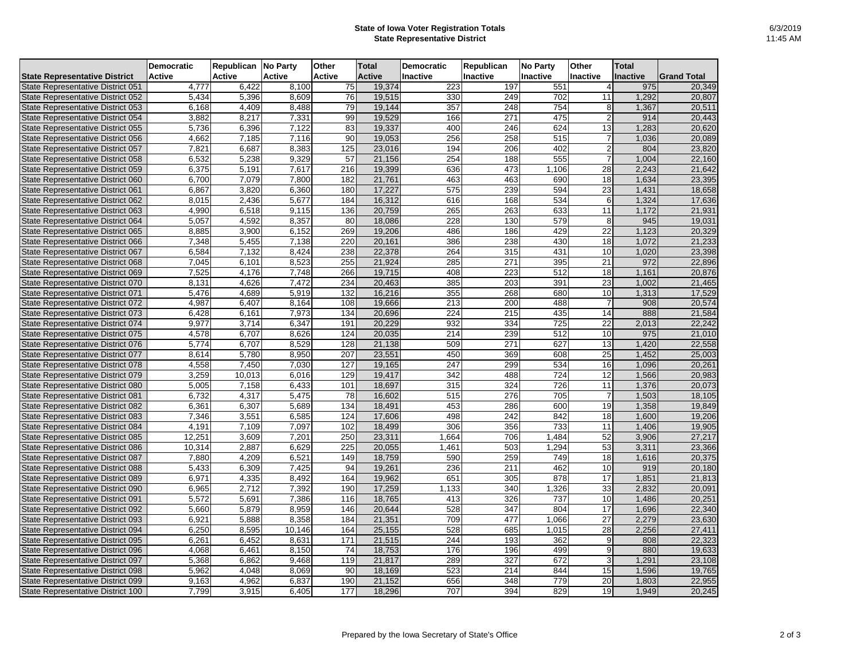## **State of Iowa Voter Registration Totals State Representative District**

|                                                                        | <b>Democratic</b> | <b>Republican</b> | No Party       | <b>Other</b>  | <b>Total</b>     | <b>Democratic</b> | <b>Republican</b> | <b>No Party</b>  | <b>Other</b>    | <b>Total</b>    |                    |
|------------------------------------------------------------------------|-------------------|-------------------|----------------|---------------|------------------|-------------------|-------------------|------------------|-----------------|-----------------|--------------------|
| <b>State Representative District</b>                                   | <b>Active</b>     | <b>Active</b>     | <b>Active</b>  | <b>Active</b> | <b>Active</b>    | <b>Inactive</b>   | Inactive          | <b>Inactive</b>  | Inactive        | <b>Inactive</b> | <b>Grand Total</b> |
| State Representative District 051                                      | 4,777             | 6,422             | 8,100          | 75            | 19,374           | 223               | 197               | 551              |                 | 975             | 20,349             |
| State Representative District 052                                      | 5,434             | 5,396             | 8,609          | 76            | 19,515           | 330               | 249               | 702              | 11              | 1,292           | 20,807             |
| State Representative District 053                                      | 6,168             | 4,409             | 8,488          | 79            | 19,144           | 357               | 248               | 754              | 8               | 1,367           | 20,511             |
| State Representative District 054                                      | 3,882             | 8,217             | 7,331          | 99            | 19,529           | 166               | 271               | 475              |                 | 914             | 20,443             |
| State Representative District 055                                      | 5,736             | 6,396             | 7,122          | 83            | 19,337           | 400               | 246               | 624              | 13              | ,283            | 20,620             |
| State Representative District 056                                      | 4,662             | 7,185             | 7,116          | 90            | 19,053           | 256               | 258               | 515              |                 | 1,036           | 20,089             |
| State Representative District 057                                      | 7,821             | 6,687             | 8,383          | 125           | 23,016           | 194               | 206               | 402              |                 | 804             | 23,820             |
| State Representative District 058                                      | 6,532             | 5,238             | 9,329          | 57            | 21,156           | 254               | 188               | 555              |                 | 1,004           | 22,160             |
| State Representative District 059                                      | 6,375             | 5,191             | 7,617          | 216           | 19,399           | 636               | 473               | 1,106            | $\overline{28}$ | 2,243           | 21,642             |
| State Representative District 060                                      | 6,700             | 7,079             | 7,800          | 182           | 21,761           | 463               | 463               | 690              | 18              | 1,634           | 23,395             |
| State Representative District 061                                      | 6,867             | 3,820             | 6,360          | 180           | 17,227           | 575               | 239               | 594              | 23              | 1,431           | 18,658             |
| State Representative District 062                                      | 8,015             | 2,436             | 5,677          | 184           | 16,312           | 616               | 168               | 534              | 6               | 1,324           | 17,636             |
| State Representative District 063                                      | 4,990             | 6,518             | 9,115          | 136           | 20,759           | 265               | 263               | 633              | 11              | 1,172           | 21,931             |
| State Representative District 064                                      | 5,057             | 4,592             | 8,357          | 80            | 18,086           | 228               | 130               | 579              | 8               | 945             | 19,031             |
| State Representative District 065                                      | 8,885             | 3,900             | 6,152          | 269           | 19,206           | 486               | 186               | 429              | 22              | 1,123           | 20,329             |
| State Representative District 066                                      | 7,348             | 5,455             | 7,138          | 220           | 20,161           | 386               | 238               | 430              | 18              | 1,072           | 21,233             |
| State Representative District 067                                      | 6,584             | 7,132             | 8,424          | 238           | 22,378           | 264               | 315               | 431              | 10              | 1,020           | 23,398             |
| State Representative District 068                                      | 7,045             | 6,101             | 8,523          | 255           | 21,924           | 285               | 271               | 395              | $\overline{21}$ | 972             | 22,896             |
| State Representative District 069                                      | 7,525             | 4,176             | 7,748          | 266           | 19,715           | 408               | 223               | 512              | $\overline{18}$ | 1,161           | 20,876             |
| State Representative District 070                                      | 8,131             | 4,626             | 7,472          | 234           | 20,463           | 385               | 203               | 391              | 23              | 1,002           | 21,465             |
| State Representative District 071                                      | 5,476             | 4,689             | 5,919          | 132           | 16,216           | 355               | 268               | 680              | 10              | 1,313           | 17,529             |
| State Representative District 072                                      | 4,987             | 6,407             | 8,164          | 108           | 19,666           | 213               | 200               | 488              |                 | 908             | 20,574             |
| State Representative District 073                                      | 6,428             | 6,161             | 7,973          | 134           | 20,696           | 224               | 215               | 435              | 14              | 888             | 21,584             |
| State Representative District 074                                      | 9,977             | 3,714             | 6,347          | 191           | 20,229           | 932               | 334               | 725              | 22              | 2,013           | 22,242             |
| State Representative District 075                                      | 4,578             | 6,707             | 8,626          | 124           | 20,035           | 214               | 239               | $\overline{512}$ | 10              | 975             | 21,010             |
| State Representative District 076                                      | 5,774             | 6,707             | 8,529          | 128           | 21,138           | 509               | 271               | 627              | 13              | 1,420           | 22,558             |
| State Representative District 077                                      | 8,614             | 5,780             | 8,950          | 207           | 23,551           | 450               | 369               | 608              | 25              | 1,452           | 25,003             |
| State Representative District 078                                      | 4,558             | 7,450             | 7,030          | 127           | 19,165           | $\overline{247}$  | 299               | 534              | 16              | 1,096           | 20,261             |
| State Representative District 079                                      | 3,259             | 10,013            | 6,016          | 129           | 19,417           | 342               | 488               | 724              | 12              | 1,566           | 20,983             |
| State Representative District 080                                      | 5,005             | 7,158             | 6,433          | 101           | 18,697           | 315               | 324               | 726              | 11              | 1,376           | 20,073             |
| State Representative District 081                                      | 6,732             | 4,317             | 5,475          | 78            | 16,602           | 515               | 276               | 705              |                 | 1,503           | 18,105             |
| State Representative District 082                                      | 6,361             | 6,307             | 5,689          | 134           | 18,491           | 453               | 286               | 600              | 19              | 1,358           | 19,849             |
| State Representative District 083                                      | 7,346             | 3,551             | 6,585          | 124           | 17,606           | 498               | 242               | 842              | 18<br>11        | 1,600           | 19,206             |
| State Representative District 084                                      | 4,191             | 7,109             | 7,097          | 102           | 18,499           | 306               | 356               | 733              | . .             | 1,406           | 19,905             |
| State Representative District 085                                      | 12,251            | 3,609             | 7,201          | 250           | 23,311           | 1,664             | 706               | 1,484            | $\overline{52}$ | 3,906           | 27,217             |
| State Representative District 086                                      | 10,314            | 2,887             | 6,629          | 225           | 20,055           | 1,461             | 503               | 1,294            | 53              | 3,311           | 23,366             |
| State Representative District 087                                      | 7,880             | 4,209             | 6,521          | 149<br>94     | 18,759<br>19,261 | 590               | 259<br>211        | 749<br>462       | 18<br>10        | 1,616<br>919    | 20,375             |
| State Representative District 088                                      | 5,433<br>6,971    | 6,309<br>4,335    | 7,425<br>8,492 | 164           | 19,962           | 236<br>651        | 305               | 878              | 17              | 1,851           | 20,180             |
| State Representative District 089                                      |                   | 2,712             |                | 190           |                  |                   |                   |                  | 33              |                 | 21,813             |
| State Representative District 090<br>State Representative District 091 | 6,965             |                   | 7,392<br>7,386 | 116           | 17,259<br>18,765 | 1,133<br>413      | 340<br>326        | 1,326<br>737     | 10              | 2,832           | 20,091             |
| <b>State Representative District 092</b>                               | 5,572<br>5,660    | 5,691<br>5,879    | 8,959          | 146           | 20,644           | 528               | 347               | 804              | $\overline{17}$ | 1,486<br>1,696  | 20,251             |
| State Representative District 093                                      | 6,921             | 5,888             | 8,358          | 184           | 21,351           | 709               | 477               | 1,066            | 27              | 2,279           | 22,340<br>23,630   |
| State Representative District 094                                      | 6,250             | 8,595             | 10,146         | 164           | 25,155           | 528               | 685               | 1,015            | 28              | 2,256           | 27,411             |
|                                                                        |                   |                   | 8,631          | 171           | 21,515           |                   |                   | 362              |                 | 808             |                    |
| State Representative District 095<br>State Representative District 096 | 6,261<br>4,068    | 6,452<br>6,461    | 8,150          | 74            | 18,753           | 244<br>176        | 193<br>196        | 499              |                 | 880             | 22,323<br>19,633   |
| State Representative District 097                                      | 5,368             | 6,862             | 9,468          | 119           | 21,817           | 289               | 327               | 672              |                 | 1,291           |                    |
| <b>State Representative District 098</b>                               | 5,962             | 4,048             | 8,069          | 90            | 18,169           | 523               | 214               | 844              | 15              | 1,596           | 23,108<br>19,765   |
| State Representative District 099                                      | 9,163             |                   | 6,837          | 190           | 21,152           | 656               | 348               | 779              | 20              | 1,803           |                    |
| State Representative District 100                                      | 7,799             | 4,962<br>3,915    |                | 177           | 18,296           | 707               | 394               | 829              | 19              | 1,949           | 22,955<br>20,245   |
|                                                                        |                   |                   | 6,405          |               |                  |                   |                   |                  |                 |                 |                    |